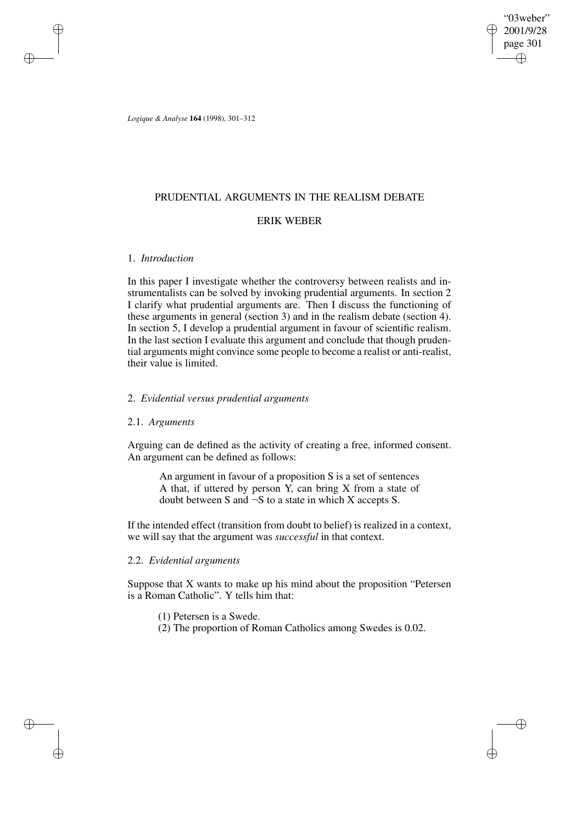# PRUDENTIAL ARGUMENTS IN THE REALISM DEBATE

# ERIK WEBER

# 1. *Introduction*

In this paper I investigate whether the controversy between realists and instrumentalists can be solved by invoking prudential arguments. In section 2 I clarify what prudential arguments are. Then I discuss the functioning of these arguments in general (section 3) and in the realism debate (section 4). In section 5, I develop a prudential argument in favour of scientific realism. In the last section I evaluate this argument and conclude that though prudential arguments might convince some people to become a realist or anti-realist, their value is limited.

# 2. *Evidential versus prudential arguments*

### 2.1. *Arguments*

Arguing can de defined as the activity of creating a free, informed consent. An argument can be defined as follows:

An argument in favour of a proposition S is a set of sentences A that, if uttered by person Y, can bring X from a state of doubt between S and  $\neg$ S to a state in which X accepts S.

If the intended effect (transition from doubt to belief) is realized in a context, we will say that the argument was *successful* in that context.

# 2.2. *Evidential arguments*

Suppose that X wants to make up his mind about the proposition "Petersen is a Roman Catholic". Y tells him that:

- (1) Petersen is a Swede.
- (2) The proportion of Roman Catholics among Swedes is 0.02.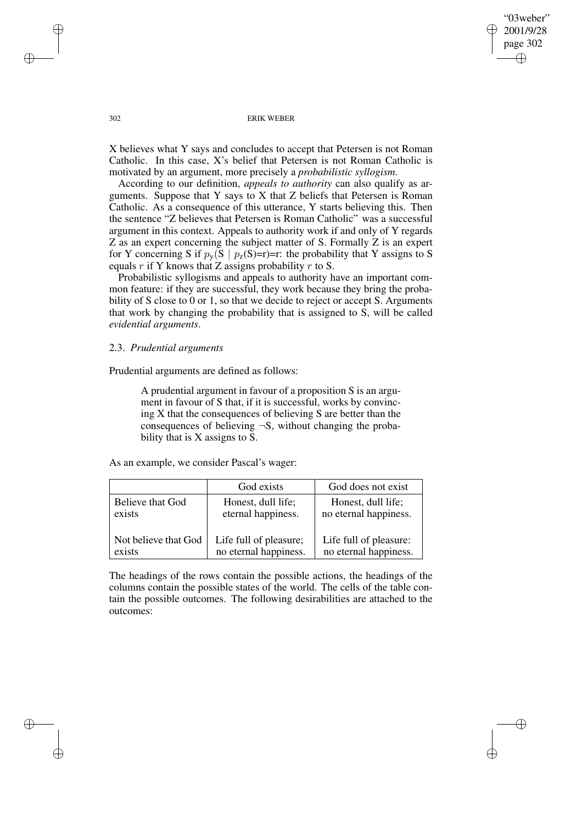X believes what Y says and concludes to accept that Petersen is not Roman Catholic. In this case, X's belief that Petersen is not Roman Catholic is motivated by an argument, more precisely a *probabilistic syllogism*.

According to our definition, *appeals to authority* can also qualify as arguments. Suppose that Y says to X that Z beliefs that Petersen is Roman Catholic. As a consequence of this utterance, Y starts believing this. Then the sentence "Z believes that Petersen is Roman Catholic" was a successful argument in this context. Appeals to authority work if and only of Y regards Z as an expert concerning the subject matter of S. Formally Z is an expert for Y concerning S if  $p_v(S | p_z(S)=r)=r$ : the probability that Y assigns to S equals r if Y knows that Z assigns probability r to S.

Probabilistic syllogisms and appeals to authority have an important common feature: if they are successful, they work because they bring the probability of S close to 0 or 1, so that we decide to reject or accept S. Arguments that work by changing the probability that is assigned to S, will be called *evidential arguments*.

# 2.3. *Prudential arguments*

Prudential arguments are defined as follows:

A prudential argument in favour of a proposition S is an argument in favour of S that, if it is successful, works by convincing X that the consequences of believing S are better than the consequences of believing  $\neg S$ , without changing the probability that is X assigns to S.

As an example, we consider Pascal's wager:

|                      | God exists             | God does not exist     |
|----------------------|------------------------|------------------------|
| Believe that God     | Honest, dull life;     | Honest, dull life;     |
| exists               | eternal happiness.     | no eternal happiness.  |
| Not believe that God | Life full of pleasure; | Life full of pleasure: |
| exists               | no eternal happiness.  | no eternal happiness.  |

The headings of the rows contain the possible actions, the headings of the columns contain the possible states of the world. The cells of the table contain the possible outcomes. The following desirabilities are attached to the outcomes: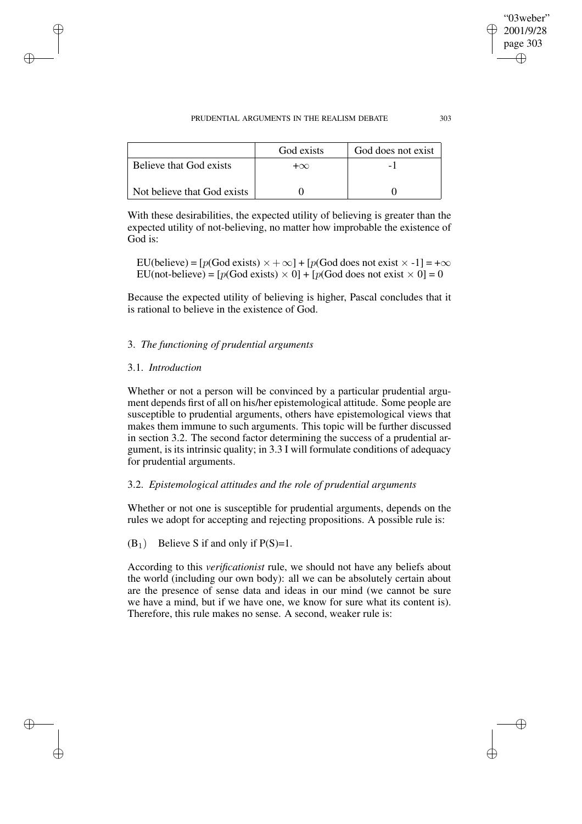|                             | God exists | God does not exist |
|-----------------------------|------------|--------------------|
| Believe that God exists     | $+\infty$  |                    |
| Not believe that God exists |            |                    |

With these desirabilities, the expected utility of believing is greater than the expected utility of not-believing, no matter how improbable the existence of God is:

EU(believe) =  $[p(God exists) \times +\infty] + [p(God does not exist \times -1] = +\infty$ EU(not-believe) =  $[p(God exists) \times 0] + [p(God does not exist \times 0] = 0$ 

Because the expected utility of believing is higher, Pascal concludes that it is rational to believe in the existence of God.

# 3. *The functioning of prudential arguments*

# 3.1. *Introduction*

Whether or not a person will be convinced by a particular prudential argument depends first of all on his/her epistemological attitude. Some people are susceptible to prudential arguments, others have epistemological views that makes them immune to such arguments. This topic will be further discussed in section 3.2. The second factor determining the success of a prudential argument, is its intrinsic quality; in 3.3 I will formulate conditions of adequacy for prudential arguments.

# 3.2. *Epistemological attitudes and the role of prudential arguments*

Whether or not one is susceptible for prudential arguments, depends on the rules we adopt for accepting and rejecting propositions. A possible rule is:

 $(B_1)$  Believe S if and only if P(S)=1.

According to this *verificationist* rule, we should not have any beliefs about the world (including our own body): all we can be absolutely certain about are the presence of sense data and ideas in our mind (we cannot be sure we have a mind, but if we have one, we know for sure what its content is). Therefore, this rule makes no sense. A second, weaker rule is: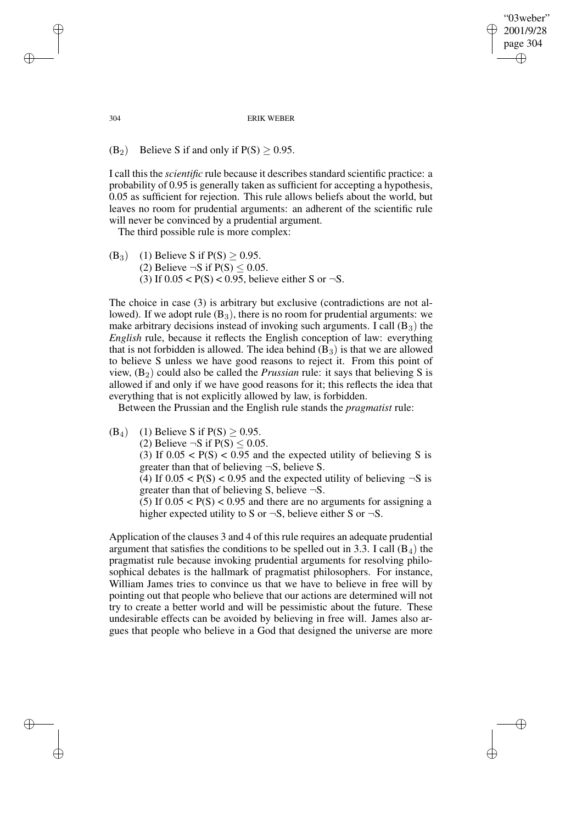(B<sub>2</sub>) Believe S if and only if  $P(S) > 0.95$ .

I call this the *scientific* rule because it describes standard scientific practice: a probability of 0.95 is generally taken as sufficient for accepting a hypothesis, 0.05 as sufficient for rejection. This rule allows beliefs about the world, but leaves no room for prudential arguments: an adherent of the scientific rule will never be convinced by a prudential argument.

The third possible rule is more complex:

(B<sub>3</sub>) (1) Believe S if  $P(S) > 0.95$ . (2) Believe  $\neg S$  if  $P(S) \le 0.05$ . (3) If  $0.05 < P(S) < 0.95$ , believe either S or  $\neg S$ .

The choice in case (3) is arbitrary but exclusive (contradictions are not allowed). If we adopt rule  $(B_3)$ , there is no room for prudential arguments: we make arbitrary decisions instead of invoking such arguments. I call  $(B_3)$  the *English* rule, because it reflects the English conception of law: everything that is not forbidden is allowed. The idea behind  $(B_3)$  is that we are allowed to believe S unless we have good reasons to reject it. From this point of view,  $(B_2)$  could also be called the *Prussian* rule: it says that believing S is allowed if and only if we have good reasons for it; this reflects the idea that everything that is not explicitly allowed by law, is forbidden.

Between the Prussian and the English rule stands the *pragmatist* rule:

(B<sub>4</sub>) (1) Believe S if  $P(S) > 0.95$ .

(2) Believe  $\neg$ S if P(S) < 0.05.

(3) If  $0.05 < P(S) < 0.95$  and the expected utility of believing S is greater than that of believing ¬S, believe S.

(4) If  $0.05 < P(S) < 0.95$  and the expected utility of believing  $\neg S$  is greater than that of believing S, believe  $\neg$ S.

(5) If  $0.05 < P(S) < 0.95$  and there are no arguments for assigning a higher expected utility to S or  $\neg S$ , believe either S or  $\neg S$ .

Application of the clauses 3 and 4 of this rule requires an adequate prudential argument that satisfies the conditions to be spelled out in 3.3. I call  $(B_4)$  the pragmatist rule because invoking prudential arguments for resolving philosophical debates is the hallmark of pragmatist philosophers. For instance, William James tries to convince us that we have to believe in free will by pointing out that people who believe that our actions are determined will not try to create a better world and will be pessimistic about the future. These undesirable effects can be avoided by believing in free will. James also argues that people who believe in a God that designed the universe are more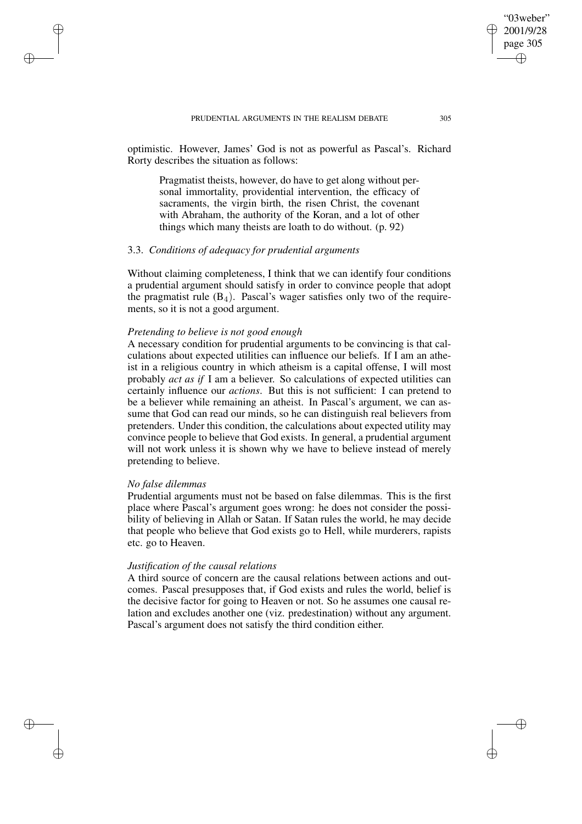optimistic. However, James' God is not as powerful as Pascal's. Richard Rorty describes the situation as follows:

Pragmatist theists, however, do have to get along without personal immortality, providential intervention, the efficacy of sacraments, the virgin birth, the risen Christ, the covenant with Abraham, the authority of the Koran, and a lot of other things which many theists are loath to do without. (p. 92)

# 3.3. *Conditions of adequacy for prudential arguments*

Without claiming completeness, I think that we can identify four conditions a prudential argument should satisfy in order to convince people that adopt the pragmatist rule  $(B_4)$ . Pascal's wager satisfies only two of the requirements, so it is not a good argument.

### *Pretending to believe is not good enough*

A necessary condition for prudential arguments to be convincing is that calculations about expected utilities can influence our beliefs. If I am an atheist in a religious country in which atheism is a capital offense, I will most probably *act as if* I am a believer. So calculations of expected utilities can certainly influence our *actions*. But this is not sufficient: I can pretend to be a believer while remaining an atheist. In Pascal's argument, we can assume that God can read our minds, so he can distinguish real believers from pretenders. Under this condition, the calculations about expected utility may convince people to believe that God exists. In general, a prudential argument will not work unless it is shown why we have to believe instead of merely pretending to believe.

### *No false dilemmas*

Prudential arguments must not be based on false dilemmas. This is the first place where Pascal's argument goes wrong: he does not consider the possibility of believing in Allah or Satan. If Satan rules the world, he may decide that people who believe that God exists go to Hell, while murderers, rapists etc. go to Heaven.

### *Justification of the causal relations*

A third source of concern are the causal relations between actions and outcomes. Pascal presupposes that, if God exists and rules the world, belief is the decisive factor for going to Heaven or not. So he assumes one causal relation and excludes another one (viz. predestination) without any argument. Pascal's argument does not satisfy the third condition either.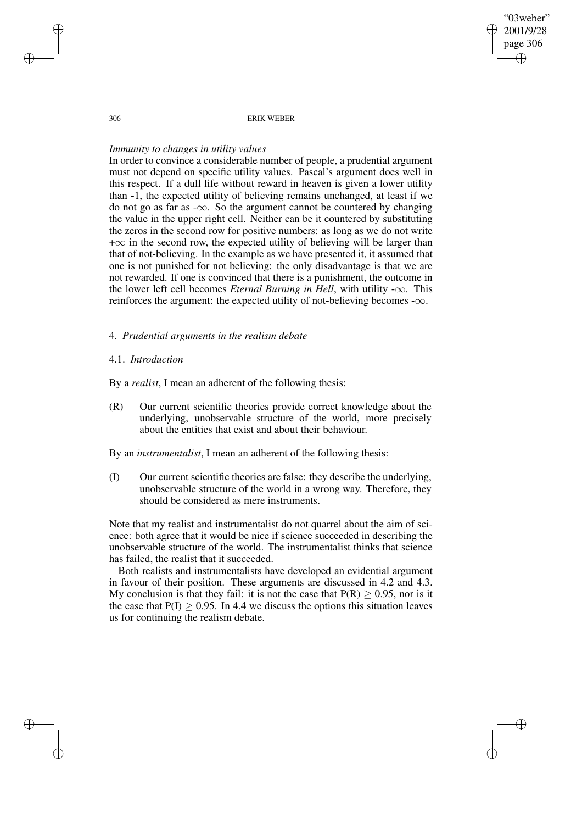#### 306 ERIK WEBER

#### *Immunity to changes in utility values*

In order to convince a considerable number of people, a prudential argument must not depend on specific utility values. Pascal's argument does well in this respect. If a dull life without reward in heaven is given a lower utility than -1, the expected utility of believing remains unchanged, at least if we do not go as far as - $\infty$ . So the argument cannot be countered by changing the value in the upper right cell. Neither can be it countered by substituting the zeros in the second row for positive numbers: as long as we do not write  $+\infty$  in the second row, the expected utility of believing will be larger than that of not-believing. In the example as we have presented it, it assumed that one is not punished for not believing: the only disadvantage is that we are not rewarded. If one is convinced that there is a punishment, the outcome in the lower left cell becomes *Eternal Burning in Hell*, with utility  $-\infty$ . This reinforces the argument: the expected utility of not-believing becomes  $-\infty$ .

# 4. *Prudential arguments in the realism debate*

### 4.1. *Introduction*

By a *realist*, I mean an adherent of the following thesis:

(R) Our current scientific theories provide correct knowledge about the underlying, unobservable structure of the world, more precisely about the entities that exist and about their behaviour.

By an *instrumentalist*, I mean an adherent of the following thesis:

(I) Our current scientific theories are false: they describe the underlying, unobservable structure of the world in a wrong way. Therefore, they should be considered as mere instruments.

Note that my realist and instrumentalist do not quarrel about the aim of science: both agree that it would be nice if science succeeded in describing the unobservable structure of the world. The instrumentalist thinks that science has failed, the realist that it succeeded.

Both realists and instrumentalists have developed an evidential argument in favour of their position. These arguments are discussed in 4.2 and 4.3. My conclusion is that they fail: it is not the case that  $P(R) > 0.95$ , nor is it the case that  $P(I) > 0.95$ . In 4.4 we discuss the options this situation leaves us for continuing the realism debate.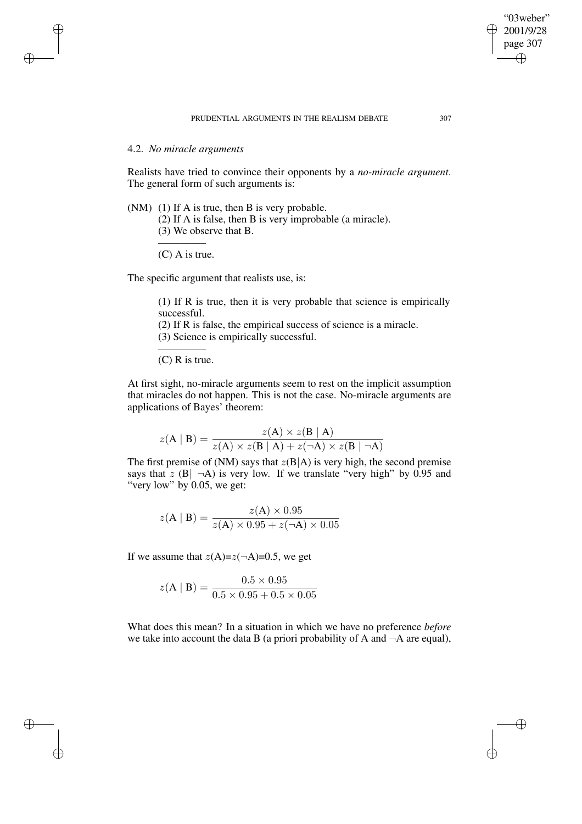# 4.2. *No miracle arguments*

Realists have tried to convince their opponents by a *no-miracle argument*. The general form of such arguments is:

(NM) (1) If A is true, then B is very probable.

(2) If A is false, then B is very improbable (a miracle).

(3) We observe that B.

————– (C) A is true.

The specific argument that realists use, is:

(1) If R is true, then it is very probable that science is empirically successful.

(2) If R is false, the empirical success of science is a miracle.

(3) Science is empirically successful.

————– (C) R is true.

At first sight, no-miracle arguments seem to rest on the implicit assumption that miracles do not happen. This is not the case. No-miracle arguments are applications of Bayes' theorem:

$$
z(\mathbf{A} \mid \mathbf{B}) = \frac{z(\mathbf{A}) \times z(\mathbf{B} \mid \mathbf{A})}{z(\mathbf{A}) \times z(\mathbf{B} \mid \mathbf{A}) + z(\neg \mathbf{A}) \times z(\mathbf{B} \mid \neg \mathbf{A})}
$$

The first premise of (NM) says that  $z(B|A)$  is very high, the second premise says that z  $(B|\neg A)$  is very low. If we translate "very high" by 0.95 and "very low" by 0.05, we get:

$$
z(\mathbf{A} \mid \mathbf{B}) = \frac{z(\mathbf{A}) \times 0.95}{z(\mathbf{A}) \times 0.95 + z(\neg \mathbf{A}) \times 0.05}
$$

If we assume that  $z(A)=z(\neg A)=0.5$ , we get

$$
z(\mathbf{A} \mid \mathbf{B}) = \frac{0.5 \times 0.95}{0.5 \times 0.95 + 0.5 \times 0.05}
$$

What does this mean? In a situation in which we have no preference *before* we take into account the data B (a priori probability of A and  $\neg A$  are equal),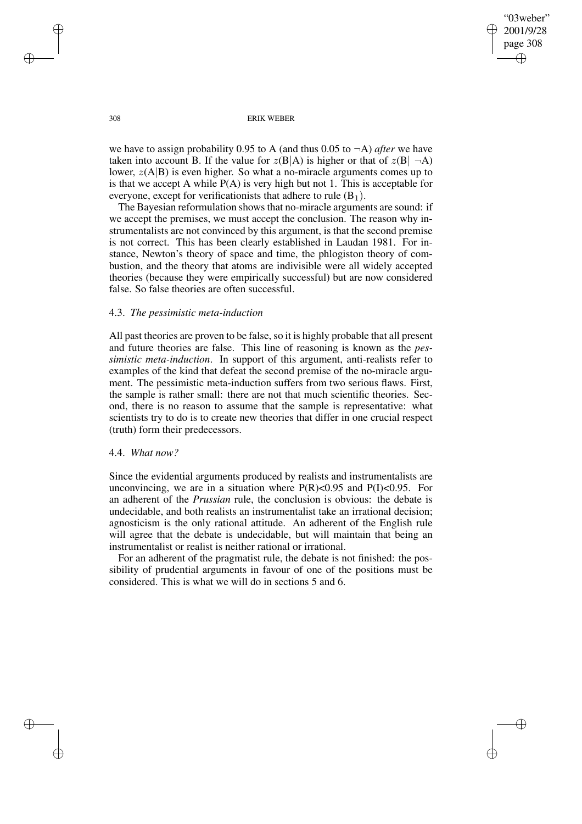#### 308 ERIK WEBER

we have to assign probability 0.95 to A (and thus 0.05 to ¬A) *after* we have taken into account B. If the value for  $z(B|A)$  is higher or that of  $z(B|\neg A)$ lower,  $z(A|B)$  is even higher. So what a no-miracle arguments comes up to is that we accept A while  $P(A)$  is very high but not 1. This is acceptable for everyone, except for verificationists that adhere to rule  $(B_1)$ .

The Bayesian reformulation shows that no-miracle arguments are sound: if we accept the premises, we must accept the conclusion. The reason why instrumentalists are not convinced by this argument, is that the second premise is not correct. This has been clearly established in Laudan 1981. For instance, Newton's theory of space and time, the phlogiston theory of combustion, and the theory that atoms are indivisible were all widely accepted theories (because they were empirically successful) but are now considered false. So false theories are often successful.

#### 4.3. *The pessimistic meta-induction*

All past theories are proven to be false, so it is highly probable that all present and future theories are false. This line of reasoning is known as the *pessimistic meta-induction*. In support of this argument, anti-realists refer to examples of the kind that defeat the second premise of the no-miracle argument. The pessimistic meta-induction suffers from two serious flaws. First, the sample is rather small: there are not that much scientific theories. Second, there is no reason to assume that the sample is representative: what scientists try to do is to create new theories that differ in one crucial respect (truth) form their predecessors.

#### 4.4. *What now?*

Since the evidential arguments produced by realists and instrumentalists are unconvincing, we are in a situation where  $P(R) < 0.95$  and  $P(I) < 0.95$ . For an adherent of the *Prussian* rule, the conclusion is obvious: the debate is undecidable, and both realists an instrumentalist take an irrational decision; agnosticism is the only rational attitude. An adherent of the English rule will agree that the debate is undecidable, but will maintain that being an instrumentalist or realist is neither rational or irrational.

For an adherent of the pragmatist rule, the debate is not finished: the possibility of prudential arguments in favour of one of the positions must be considered. This is what we will do in sections 5 and 6.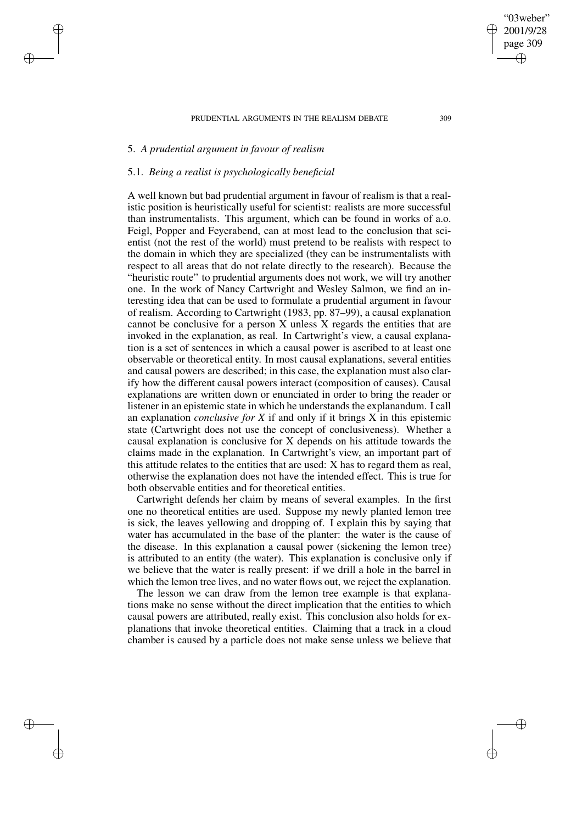# 5. *A prudential argument in favour of realism*

# 5.1. *Being a realist is psychologically beneficial*

A well known but bad prudential argument in favour of realism is that a realistic position is heuristically useful for scientist: realists are more successful than instrumentalists. This argument, which can be found in works of a.o. Feigl, Popper and Feyerabend, can at most lead to the conclusion that scientist (not the rest of the world) must pretend to be realists with respect to the domain in which they are specialized (they can be instrumentalists with respect to all areas that do not relate directly to the research). Because the "heuristic route" to prudential arguments does not work, we will try another one. In the work of Nancy Cartwright and Wesley Salmon, we find an interesting idea that can be used to formulate a prudential argument in favour of realism. According to Cartwright (1983, pp. 87–99), a causal explanation cannot be conclusive for a person X unless X regards the entities that are invoked in the explanation, as real. In Cartwright's view, a causal explanation is a set of sentences in which a causal power is ascribed to at least one observable or theoretical entity. In most causal explanations, several entities and causal powers are described; in this case, the explanation must also clarify how the different causal powers interact (composition of causes). Causal explanations are written down or enunciated in order to bring the reader or listener in an epistemic state in which he understands the explanandum. I call an explanation *conclusive for X* if and only if it brings X in this epistemic state (Cartwright does not use the concept of conclusiveness). Whether a causal explanation is conclusive for X depends on his attitude towards the claims made in the explanation. In Cartwright's view, an important part of this attitude relates to the entities that are used: X has to regard them as real, otherwise the explanation does not have the intended effect. This is true for both observable entities and for theoretical entities.

Cartwright defends her claim by means of several examples. In the first one no theoretical entities are used. Suppose my newly planted lemon tree is sick, the leaves yellowing and dropping of. I explain this by saying that water has accumulated in the base of the planter: the water is the cause of the disease. In this explanation a causal power (sickening the lemon tree) is attributed to an entity (the water). This explanation is conclusive only if we believe that the water is really present: if we drill a hole in the barrel in which the lemon tree lives, and no water flows out, we reject the explanation.

The lesson we can draw from the lemon tree example is that explanations make no sense without the direct implication that the entities to which causal powers are attributed, really exist. This conclusion also holds for explanations that invoke theoretical entities. Claiming that a track in a cloud chamber is caused by a particle does not make sense unless we believe that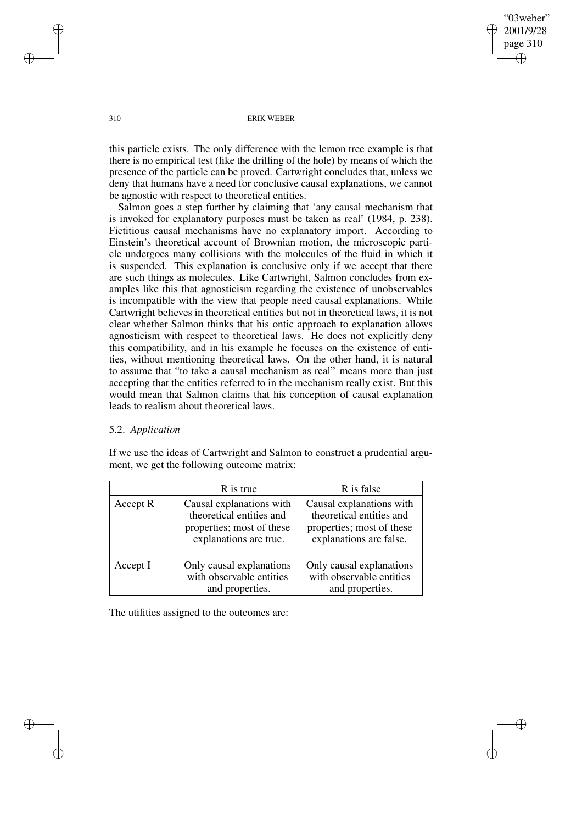this particle exists. The only difference with the lemon tree example is that there is no empirical test (like the drilling of the hole) by means of which the presence of the particle can be proved. Cartwright concludes that, unless we deny that humans have a need for conclusive causal explanations, we cannot be agnostic with respect to theoretical entities.

Salmon goes a step further by claiming that 'any causal mechanism that is invoked for explanatory purposes must be taken as real' (1984, p. 238). Fictitious causal mechanisms have no explanatory import. According to Einstein's theoretical account of Brownian motion, the microscopic particle undergoes many collisions with the molecules of the fluid in which it is suspended. This explanation is conclusive only if we accept that there are such things as molecules. Like Cartwright, Salmon concludes from examples like this that agnosticism regarding the existence of unobservables is incompatible with the view that people need causal explanations. While Cartwright believes in theoretical entities but not in theoretical laws, it is not clear whether Salmon thinks that his ontic approach to explanation allows agnosticism with respect to theoretical laws. He does not explicitly deny this compatibility, and in his example he focuses on the existence of entities, without mentioning theoretical laws. On the other hand, it is natural to assume that "to take a causal mechanism as real" means more than just accepting that the entities referred to in the mechanism really exist. But this would mean that Salmon claims that his conception of causal explanation leads to realism about theoretical laws.

# 5.2. *Application*

If we use the ideas of Cartwright and Salmon to construct a prudential argument, we get the following outcome matrix:

|          | R is true                                                                                                   | R is false                                                                                                   |
|----------|-------------------------------------------------------------------------------------------------------------|--------------------------------------------------------------------------------------------------------------|
| Accept R | Causal explanations with<br>theoretical entities and<br>properties; most of these<br>explanations are true. | Causal explanations with<br>theoretical entities and<br>properties; most of these<br>explanations are false. |
| Accept I | Only causal explanations<br>with observable entities<br>and properties.                                     | Only causal explanations<br>with observable entities<br>and properties.                                      |

The utilities assigned to the outcomes are: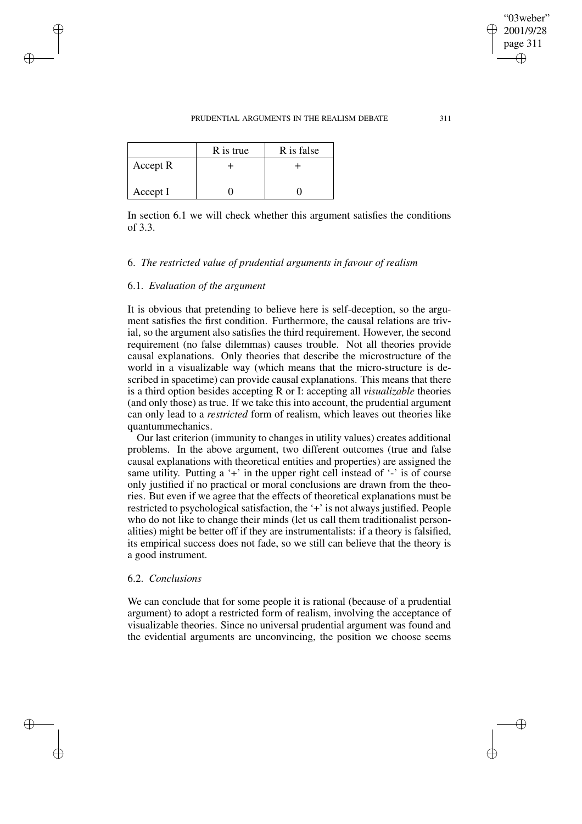|          | R is true | R is false |
|----------|-----------|------------|
| Accept R |           |            |
| Accept I |           |            |

In section 6.1 we will check whether this argument satisfies the conditions of 3.3.

# 6. *The restricted value of prudential arguments in favour of realism*

## 6.1. *Evaluation of the argument*

It is obvious that pretending to believe here is self-deception, so the argument satisfies the first condition. Furthermore, the causal relations are trivial, so the argument also satisfies the third requirement. However, the second requirement (no false dilemmas) causes trouble. Not all theories provide causal explanations. Only theories that describe the microstructure of the world in a visualizable way (which means that the micro-structure is described in spacetime) can provide causal explanations. This means that there is a third option besides accepting R or I: accepting all *visualizable* theories (and only those) as true. If we take this into account, the prudential argument can only lead to a *restricted* form of realism, which leaves out theories like quantummechanics.

Our last criterion (immunity to changes in utility values) creates additional problems. In the above argument, two different outcomes (true and false causal explanations with theoretical entities and properties) are assigned the same utility. Putting a  $+$  in the upper right cell instead of  $-$  is of course only justified if no practical or moral conclusions are drawn from the theories. But even if we agree that the effects of theoretical explanations must be restricted to psychological satisfaction, the '+' is not always justified. People who do not like to change their minds (let us call them traditionalist personalities) might be better off if they are instrumentalists: if a theory is falsified, its empirical success does not fade, so we still can believe that the theory is a good instrument.

# 6.2. *Conclusions*

We can conclude that for some people it is rational (because of a prudential argument) to adopt a restricted form of realism, involving the acceptance of visualizable theories. Since no universal prudential argument was found and the evidential arguments are unconvincing, the position we choose seems